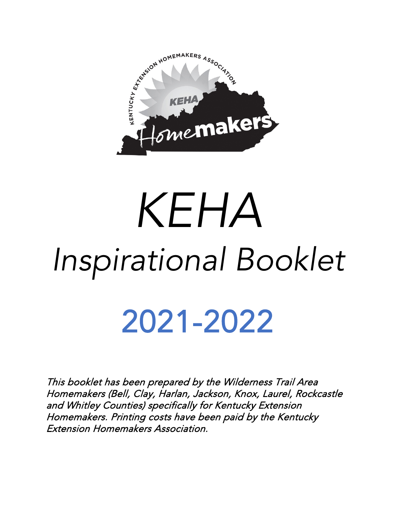

# *KEHA Inspirational Booklet*

## 2021-2022

This booklet has been prepared by the Wilderness Trail Area Homemakers (Bell, Clay, Harlan, Jackson, Knox, Laurel, Rockcastle and Whitley Counties) specifically for Kentucky Extension Homemakers. Printing costs have been paid by the Kentucky Extension Homemakers Association.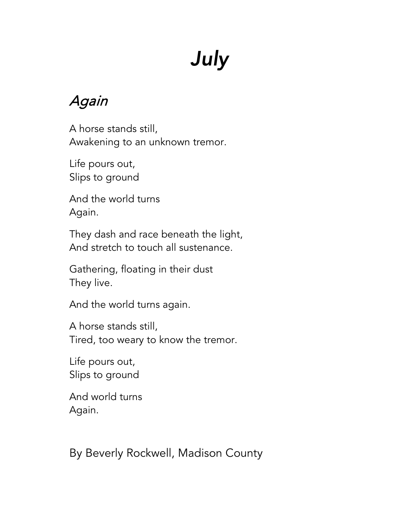## *July*

#### Again

A horse stands still, Awakening to an unknown tremor.

Life pours out, Slips to ground

And the world turns Again.

They dash and race beneath the light, And stretch to touch all sustenance.

Gathering, floating in their dust They live.

And the world turns again.

A horse stands still, Tired, too weary to know the tremor.

Life pours out, Slips to ground

And world turns Again.

By Beverly Rockwell, Madison County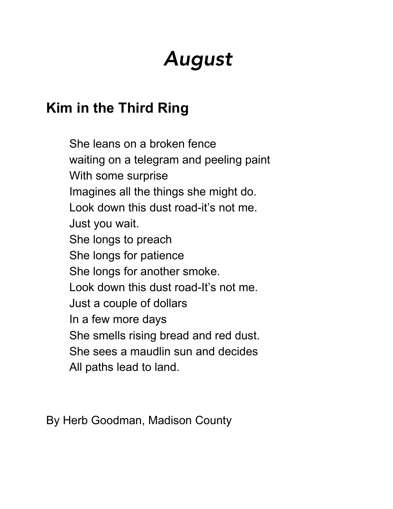## *August*

#### **Kim in the Third Ring**

She leans on a broken fence waiting on a telegram and peeling paint With some surprise Imagines all the things she might do. Look down this dust road-it's not me. Just you wait. She longs to preach She longs for patience She longs for another smoke. Look down this dust road-It's not me. Just a couple of dollars In a few more days She smells rising bread and red dust. She sees a maudlin sun and decides All paths lead to land.

By Herb Goodman, Madison County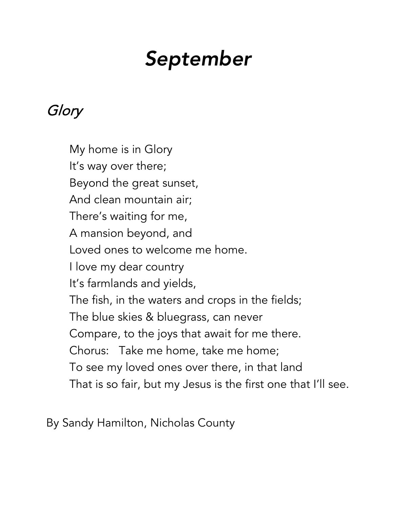## *September*

#### Glory

My home is in Glory It's way over there; Beyond the great sunset, And clean mountain air; There's waiting for me, A mansion beyond, and Loved ones to welcome me home. I love my dear country It's farmlands and yields, The fish, in the waters and crops in the fields; The blue skies & bluegrass, can never Compare, to the joys that await for me there. Chorus: Take me home, take me home; To see my loved ones over there, in that land That is so fair, but my Jesus is the first one that I'll see.

By Sandy Hamilton, Nicholas County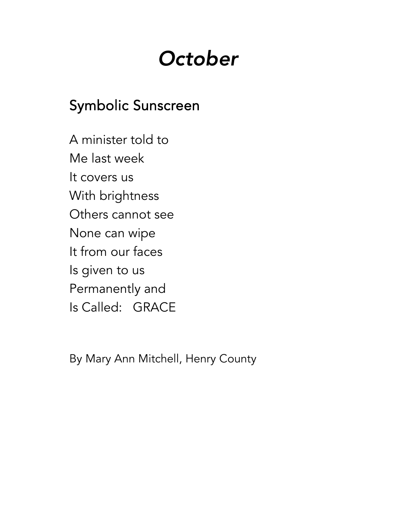## *October*

#### Symbolic Sunscreen

A minister told to Me last week It covers us With brightness Others cannot see None can wipe It from our faces Is given to us Permanently and Is Called: GRACE

By Mary Ann Mitchell, Henry County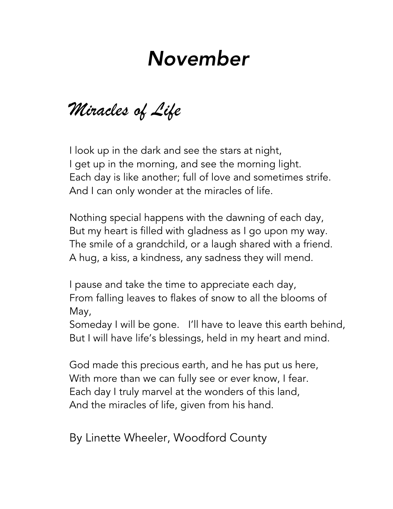## *November*

*Miracles of Life*

I look up in the dark and see the stars at night, I get up in the morning, and see the morning light. Each day is like another; full of love and sometimes strife. And I can only wonder at the miracles of life.

Nothing special happens with the dawning of each day, But my heart is filled with gladness as I go upon my way. The smile of a grandchild, or a laugh shared with a friend. A hug, a kiss, a kindness, any sadness they will mend.

I pause and take the time to appreciate each day, From falling leaves to flakes of snow to all the blooms of May,

Someday I will be gone. I'll have to leave this earth behind, But I will have life's blessings, held in my heart and mind.

God made this precious earth, and he has put us here, With more than we can fully see or ever know, I fear. Each day I truly marvel at the wonders of this land, And the miracles of life, given from his hand.

By Linette Wheeler, Woodford County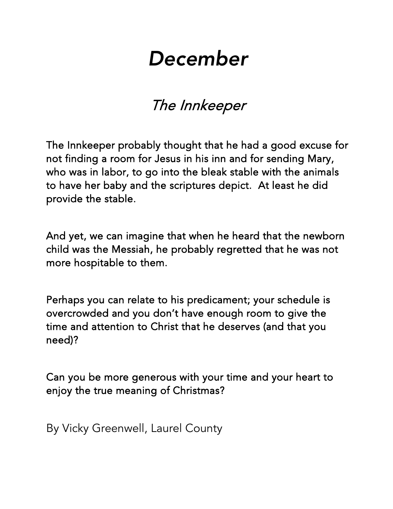## *December*

#### The Innkeeper

The Innkeeper probably thought that he had a good excuse for not finding a room for Jesus in his inn and for sending Mary, who was in labor, to go into the bleak stable with the animals to have her baby and the scriptures depict. At least he did provide the stable.

And yet, we can imagine that when he heard that the newborn child was the Messiah, he probably regretted that he was not more hospitable to them.

Perhaps you can relate to his predicament; your schedule is overcrowded and you don't have enough room to give the time and attention to Christ that he deserves (and that you need)?

Can you be more generous with your time and your heart to enjoy the true meaning of Christmas?

By Vicky Greenwell, Laurel County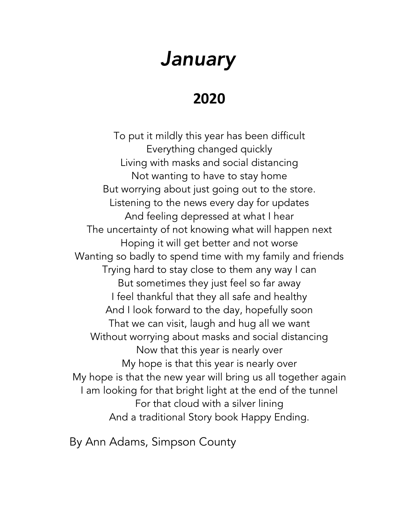#### *January*

#### **2020**

To put it mildly this year has been difficult Everything changed quickly Living with masks and social distancing Not wanting to have to stay home But worrying about just going out to the store. Listening to the news every day for updates And feeling depressed at what I hear The uncertainty of not knowing what will happen next Hoping it will get better and not worse Wanting so badly to spend time with my family and friends Trying hard to stay close to them any way I can But sometimes they just feel so far away I feel thankful that they all safe and healthy And I look forward to the day, hopefully soon That we can visit, laugh and hug all we want Without worrying about masks and social distancing Now that this year is nearly over My hope is that this year is nearly over My hope is that the new year will bring us all together again I am looking for that bright light at the end of the tunnel For that cloud with a silver lining And a traditional Story book Happy Ending.

By Ann Adams, Simpson County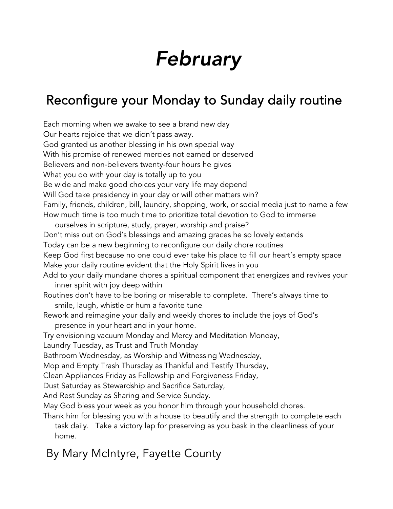## *February*

#### Reconfigure your Monday to Sunday daily routine

Each morning when we awake to see a brand new day Our hearts rejoice that we didn't pass away. God granted us another blessing in his own special way With his promise of renewed mercies not earned or deserved Believers and non-believers twenty-four hours he gives What you do with your day is totally up to you Be wide and make good choices your very life may depend Will God take presidency in your day or will other matters win? Family, friends, children, bill, laundry, shopping, work, or social media just to name a few How much time is too much time to prioritize total devotion to God to immerse ourselves in scripture, study, prayer, worship and praise? Don't miss out on God's blessings and amazing graces he so lovely extends Today can be a new beginning to reconfigure our daily chore routines Keep God first because no one could ever take his place to fill our heart's empty space Make your daily routine evident that the Holy Spirit lives in you Add to your daily mundane chores a spiritual component that energizes and revives your inner spirit with joy deep within Routines don't have to be boring or miserable to complete. There's always time to smile, laugh, whistle or hum a favorite tune Rework and reimagine your daily and weekly chores to include the joys of God's presence in your heart and in your home. Try envisioning vacuum Monday and Mercy and Meditation Monday, Laundry Tuesday, as Trust and Truth Monday Bathroom Wednesday, as Worship and Witnessing Wednesday, Mop and Empty Trash Thursday as Thankful and Testify Thursday, Clean Appliances Friday as Fellowship and Forgiveness Friday, Dust Saturday as Stewardship and Sacrifice Saturday, And Rest Sunday as Sharing and Service Sunday. May God bless your week as you honor him through your household chores. Thank him for blessing you with a house to beautify and the strength to complete each task daily. Take a victory lap for preserving as you bask in the cleanliness of your home.

#### By Mary McIntyre, Fayette County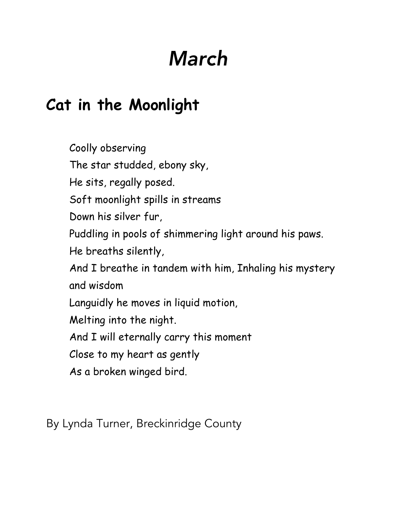## *March*

#### **Cat in the Moonlight**

Coolly observing The star studded, ebony sky, He sits, regally posed. Soft moonlight spills in streams Down his silver fur, Puddling in pools of shimmering light around his paws. He breaths silently, And I breathe in tandem with him, Inhaling his mystery and wisdom Languidly he moves in liquid motion, Melting into the night. And I will eternally carry this moment Close to my heart as gently As a broken winged bird.

By Lynda Turner, Breckinridge County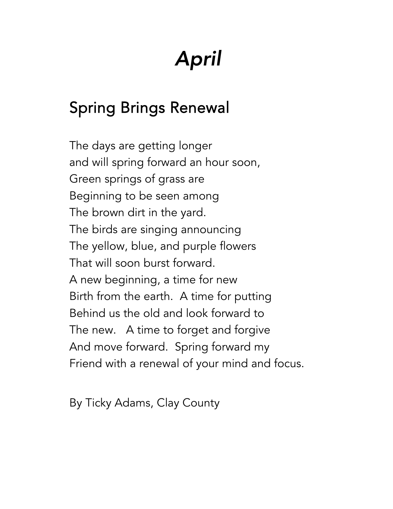## *April*

#### Spring Brings Renewal

The days are getting longer and will spring forward an hour soon, Green springs of grass are Beginning to be seen among The brown dirt in the yard. The birds are singing announcing The yellow, blue, and purple flowers That will soon burst forward. A new beginning, a time for new Birth from the earth. A time for putting Behind us the old and look forward to The new. A time to forget and forgive And move forward. Spring forward my Friend with a renewal of your mind and focus.

By Ticky Adams, Clay County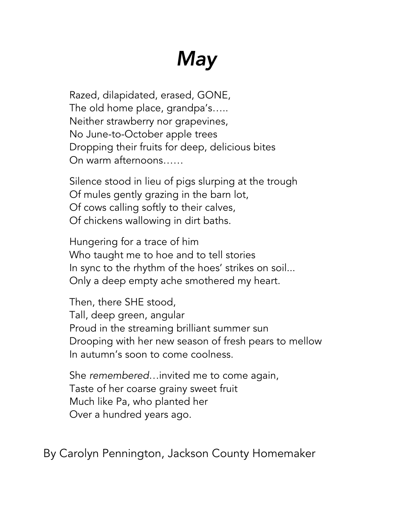## *May*

Razed, dilapidated, erased, GONE, The old home place, grandpa's….. Neither strawberry nor grapevines, No June-to-October apple trees Dropping their fruits for deep, delicious bites On warm afternoons……

Silence stood in lieu of pigs slurping at the trough Of mules gently grazing in the barn lot, Of cows calling softly to their calves, Of chickens wallowing in dirt baths.

Hungering for a trace of him Who taught me to hoe and to tell stories In sync to the rhythm of the hoes' strikes on soil... Only a deep empty ache smothered my heart.

Then, there SHE stood, Tall, deep green, angular Proud in the streaming brilliant summer sun Drooping with her new season of fresh pears to mellow In autumn's soon to come coolness.

She *remembered*…invited me to come again, Taste of her coarse grainy sweet fruit Much like Pa, who planted her Over a hundred years ago.

By Carolyn Pennington, Jackson County Homemaker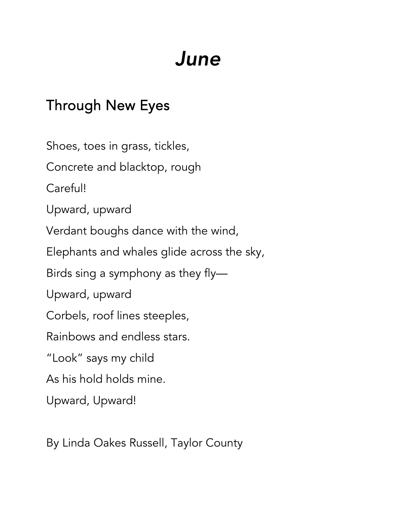## *June*

#### Through New Eyes

Shoes, toes in grass, tickles, Concrete and blacktop, rough Careful! Upward, upward Verdant boughs dance with the wind, Elephants and whales glide across the sky, Birds sing a symphony as they fly— Upward, upward Corbels, roof lines steeples, Rainbows and endless stars. "Look" says my child As his hold holds mine. Upward, Upward!

By Linda Oakes Russell, Taylor County